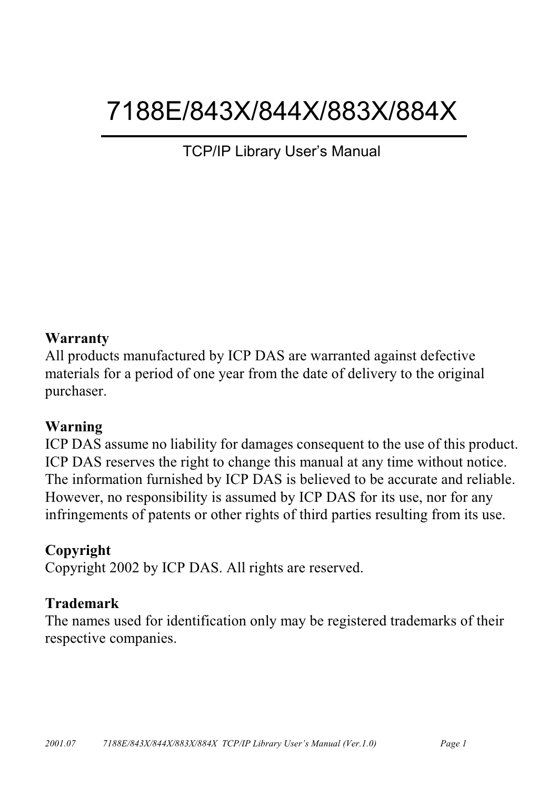# 7188E/843X/844X/883X/884X

**TCP/IP Library User's Manual** 

#### Warranty

All products manufactured by ICP DAS are warranted against defective materials for a period of one year from the date of delivery to the original purchaser.

#### Warning

ICP DAS assume no liability for damages consequent to the use of this product. ICP DAS reserves the right to change this manual at any time without notice. The information furnished by ICP DAS is believed to be accurate and reliable. However, no responsibility is assumed by ICP DAS for its use, nor for any infringements of patents or other rights of third parties resulting from its use.

#### Copyright

Copyright 2002 by ICP DAS. All rights are reserved.

#### **Trademark**

The names used for identification only may be registered trademarks of their respective companies.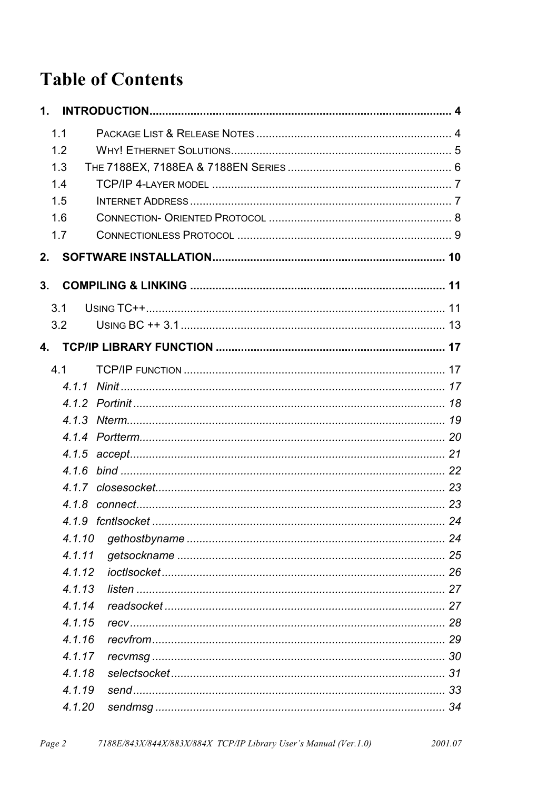## **Table of Contents**

| 1.1              |    |
|------------------|----|
| 1.2              |    |
| 1.3              |    |
| 1.4              |    |
| 1.5              |    |
| 1.6              |    |
| 1.7              |    |
| 2.               |    |
| 3.               |    |
| 3.1              |    |
| 3.2              |    |
| 4.               |    |
| 4.1              |    |
|                  |    |
|                  |    |
|                  |    |
|                  |    |
|                  |    |
| 4.1.6            |    |
|                  |    |
|                  |    |
| 419 fcntlsocket. | 24 |
| 4.1.10           |    |
| 4.1.11<br>4.1.12 |    |
| 4.1.13           |    |
| 4.1.14           |    |
| 4.1.15           |    |
| 4.1.16           |    |
| 4.1.17           |    |
| 4.1.18           |    |
| 4.1.19           |    |
| 4.1.20           |    |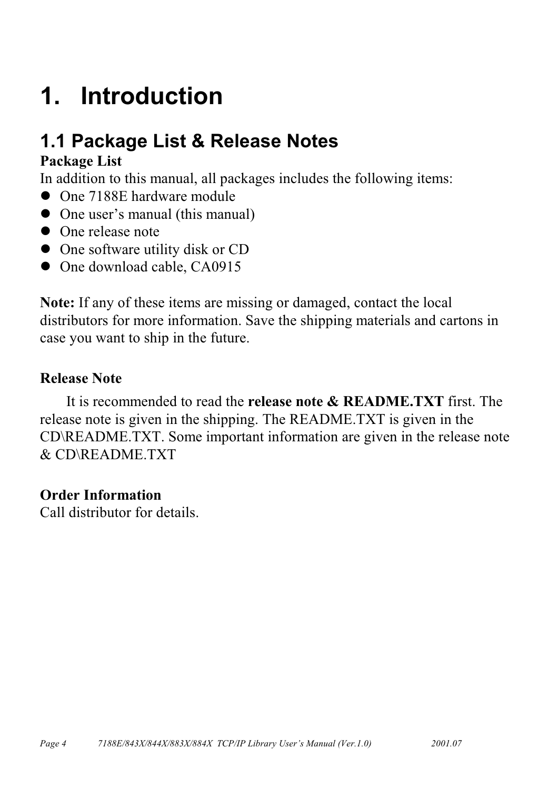# <span id="page-3-0"></span>1. Introduction

## 1.1 Package List & Release Notes

#### **Package List**

In addition to this manual, all packages includes the following items:

- One 7188E hardware module
- One user's manual (this manual)
- One release note
- One software utility disk or CD
- One download cable, CA0915

Note: If any of these items are missing or damaged, contact the local distributors for more information. Save the shipping materials and cartons in case you want to ship in the future.

#### **Release Note**

It is recommended to read the **release note & README.TXT** first. The release note is given in the shipping. The README.TXT is given in the CD\README.TXT. Some important information are given in the release note  $&$  CD\README TXT

#### **Order Information**

Call distributor for details.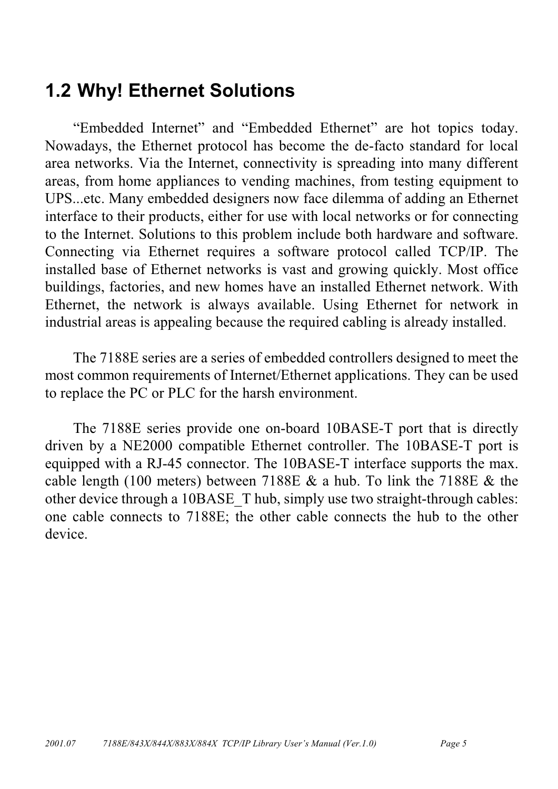## <span id="page-4-0"></span>**1.2 Why! Ethernet Solutions**

"Embedded Internet" and "Embedded Ethernet" are hot topics today. Nowadays, the Ethernet protocol has become the de-facto standard for local area networks. Via the Internet, connectivity is spreading into many different areas, from home appliances to vending machines, from testing equipment to UPS...etc. Many embedded designers now face dilemma of adding an Ethernet interface to their products, either for use with local networks or for connecting to the Internet. Solutions to this problem include both hardware and software. Connecting via Ethernet requires a software protocol called TCP/IP. The installed base of Ethernet networks is vast and growing quickly. Most office buildings, factories, and new homes have an installed Ethernet network. With Ethernet, the network is always available. Using Ethernet for network in industrial areas is appealing because the required cabling is already installed.

The 7188E series are a series of embedded controllers designed to meet the most common requirements of Internet/Ethernet applications. They can be used to replace the PC or PLC for the harsh environment.

The 7188E series provide one on-board 10BASE-T port that is directly driven by a NE2000 compatible Ethernet controller. The 10BASE-T port is equipped with a RJ-45 connector. The 10BASE-T interface supports the max. cable length (100 meters) between 7188E  $\&$  a hub. To link the 7188E  $\&$  the other device through a 10BASE T hub, simply use two straight-through cables: one cable connects to 7188E; the other cable connects the hub to the other device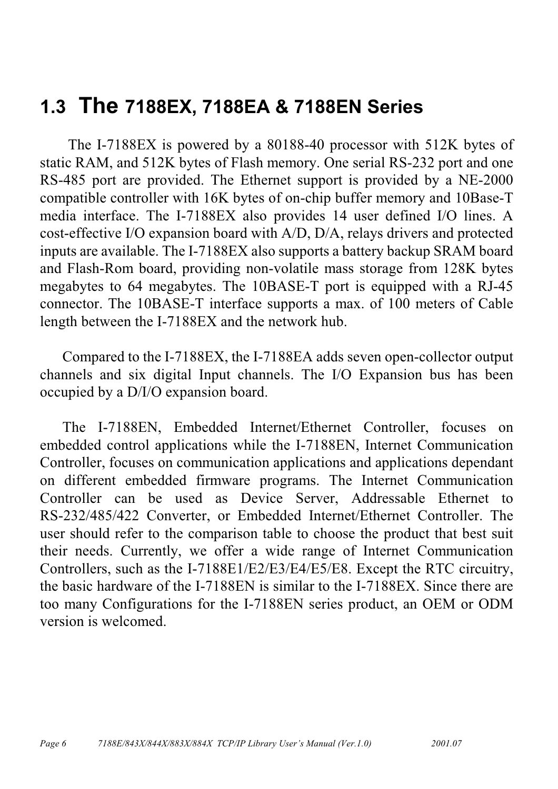## <span id="page-5-0"></span>1.3 The 7188EX, 7188EA & 7188EN Series

The I-7188EX is powered by a 80188-40 processor with 512K bytes of static RAM, and 512K bytes of Flash memory. One serial RS-232 port and one RS-485 port are provided. The Ethernet support is provided by a NE-2000 compatible controller with 16K bytes of on-chip buffer memory and 10Base-T media interface. The I-7188EX also provides 14 user defined I/O lines. A cost-effective I/O expansion board with A/D, D/A, relays drivers and protected inputs are available. The I-7188EX also supports a battery backup SRAM board and Flash-Rom board, providing non-volatile mass storage from 128K bytes megabytes to 64 megabytes. The 10BASE-T port is equipped with a RJ-45 connector. The 10BASE-T interface supports a max. of 100 meters of Cable length between the I-7188EX and the network hub.

Compared to the I-7188EX, the I-7188EA adds seven open-collector output channels and six digital Input channels. The I/O Expansion bus has been occupied by a D/I/O expansion board.

The I-7188EN, Embedded Internet/Ethernet Controller, focuses on embedded control applications while the I-7188EN, Internet Communication Controller, focuses on communication applications and applications dependant on different embedded firmware programs. The Internet Communication Controller can be used as Device Server, Addressable Ethernet to RS-232/485/422 Converter, or Embedded Internet/Ethernet Controller. The user should refer to the comparison table to choose the product that best suit their needs. Currently, we offer a wide range of Internet Communication Controllers, such as the I-7188E1/E2/E3/E4/E5/E8. Except the RTC circuitry, the basic hardware of the I-7188EN is similar to the I-7188EX Since there are too many Configurations for the I-7188EN series product, an OEM or ODM version is welcomed.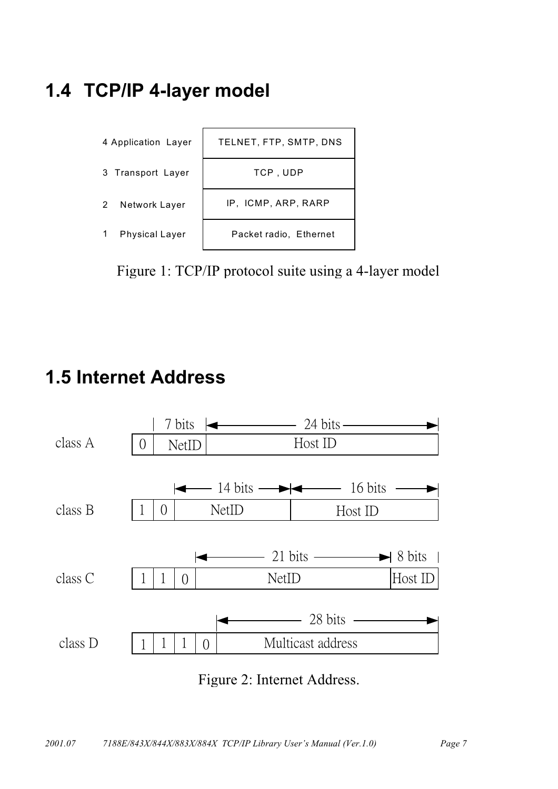## <span id="page-6-0"></span>1.4 TCP/IP 4-layer model



Figure 1: TCP/IP protocol suite using a 4-layer model

## **1.5 Internet Address**



Figure 2: Internet Address.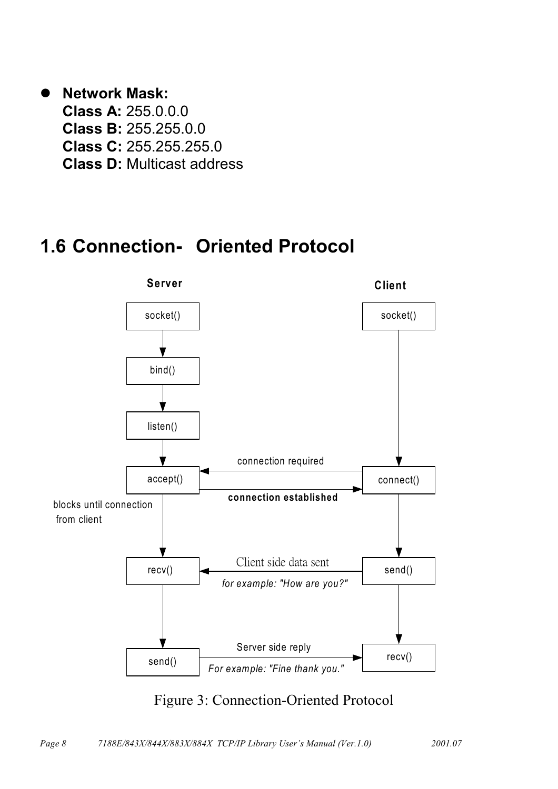#### <span id="page-7-0"></span>• Network Mask:

**Class A: 255.0.0.0 Class B: 255.255.0.0 Class C: 255.255.255.0 Class D: Multicast address** 

## 1.6 Connection- Oriented Protocol



Figure 3: Connection-Oriented Protocol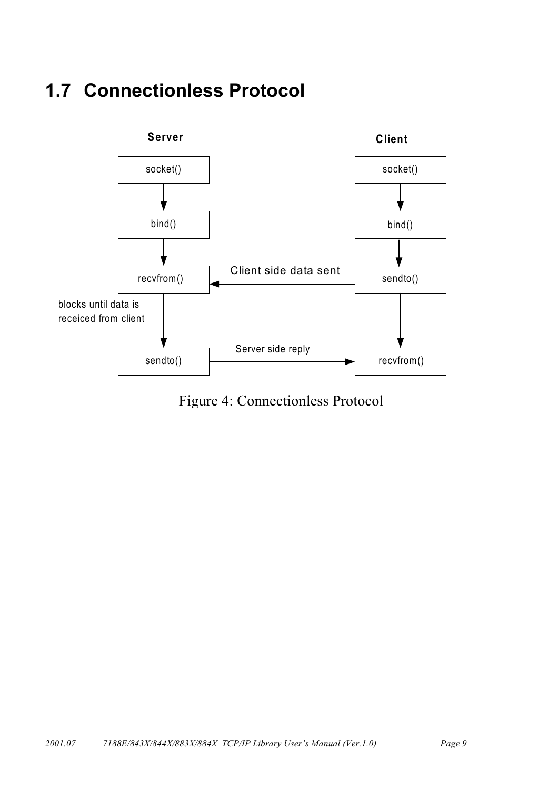## <span id="page-8-0"></span>**1.7 Connectionless Protocol**



Figure 4: Connectionless Protocol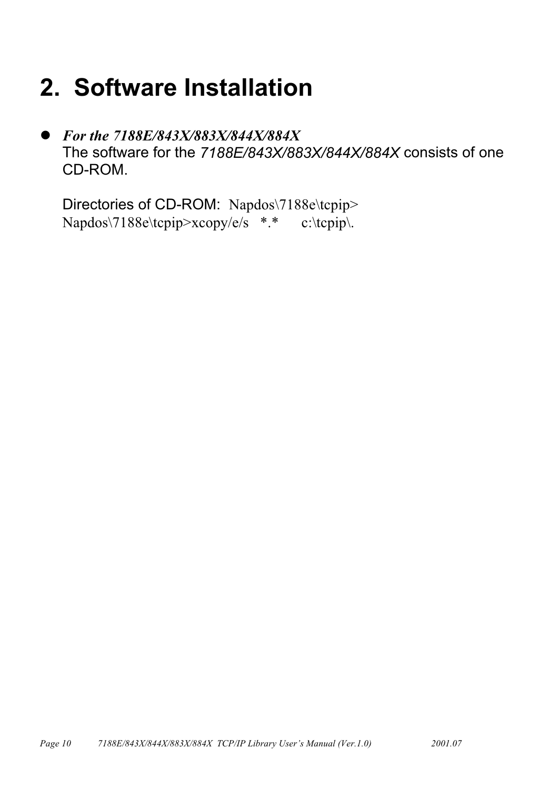# <span id="page-9-0"></span>2. Software Installation

For the 7188E/843X/883X/844X/884X  $\bullet$ The software for the 7188E/843X/883X/844X/884X consists of one CD-ROM.

Directories of CD-ROM: Napdos\7188e\tcpip> Napdos\7188e\tcpip>xcopy/e/s \*.\* c:\tcpip\.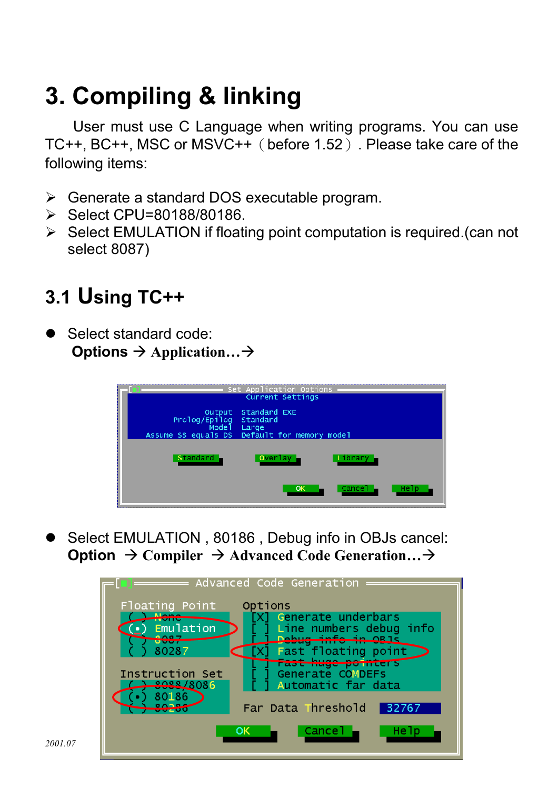# <span id="page-10-0"></span>3. Compiling & linking

User must use C Language when writing programs. You can use TC++, BC++, MSC or MSVC++ (before 1.52). Please take care of the following items:

- > Generate a standard DOS executable program.
- $\triangleright$  Select CPU=80188/80186.
- $\triangleright$  Select EMULATION if floating point computation is required. (can not select 8087)

# 3.1 Using TC++

Select standard code: Options  $\rightarrow$  Application...  $\rightarrow$ 



Select EMULATION, 80186, Debug info in OBJs cancel: **Option**  $\rightarrow$  Compiler  $\rightarrow$  Advanced Code Generation...  $\rightarrow$ 

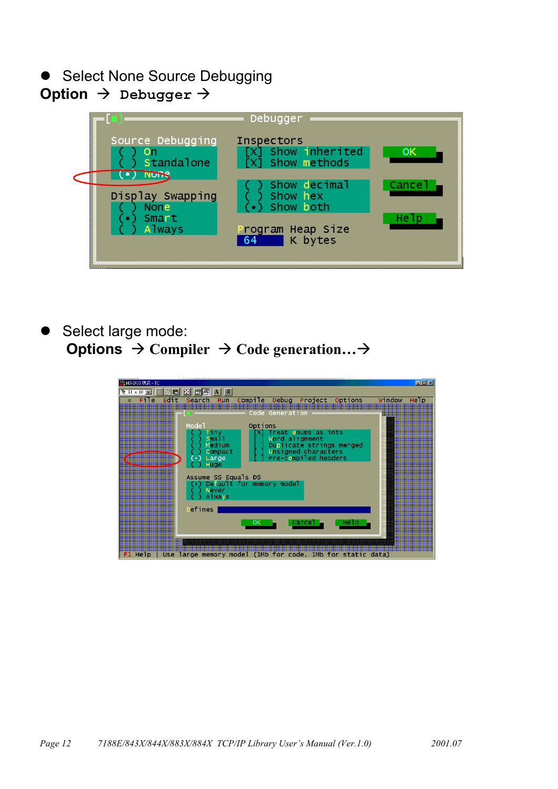• Select None Source Debugging

#### Option  $\rightarrow$  Debugger  $\rightarrow$



Select large mode: Options  $\rightarrow$  Compiler  $\rightarrow$  Code generation...  $\rightarrow$ 

| <mark>☆</mark> MS-DOS 模式 - TC                                                                                          | $\Box$ D $\Box$                                                                                                                                 |
|------------------------------------------------------------------------------------------------------------------------|-------------------------------------------------------------------------------------------------------------------------------------------------|
|                                                                                                                        |                                                                                                                                                 |
| Edit<br>Compile<br>Debug<br>File<br>Search<br>Run                                                                      | Project<br>Options<br>Window<br>Help                                                                                                            |
|                                                                                                                        | ,,,,,,,,,,,,,,,,,,,,,,,,,,,,,,,,                                                                                                                |
| Code Generation                                                                                                        | <u> Espainian </u>                                                                                                                              |
| Options<br>Mode <sup>1</sup><br><b>TERRITORIA</b>                                                                      |                                                                                                                                                 |
| Tiny                                                                                                                   | <br>Treat enums as ints                                                                                                                         |
| Sma11<br><br>$\overline{\phantom{a}}$<br>Medium                                                                        | Word alignment<br><br>Duplicate strings merged                                                                                                  |
| Compact                                                                                                                | Unsigned characters<br>                                                                                                                         |
| Large<br>$\bullet$                                                                                                     | <br>Pre-compiled headers                                                                                                                        |
| $\subseteq$<br>Huge                                                                                                    |                                                                                                                                                 |
| Assume SS Equals DS<br>                                                                                                | <br>                                                                                                                                            |
| <u> Elizabeth I</u><br>Default for memory model                                                                        |                                                                                                                                                 |
| <b>Never</b><br><br><u> Elizabeth I</u><br><b>Always</b>                                                               |                                                                                                                                                 |
|                                                                                                                        | <u> Hillingen und der Schwarten und der Englisher und der Englisher und der Englisher und der Englisher und der </u><br><br>=================== |
| <u> Herman II</u><br>Defines                                                                                           |                                                                                                                                                 |
| <br>ок                                                                                                                 | Cancel -                                                                                                                                        |
|                                                                                                                        | Help<br>;;;;;;;;;;;;;;;;;;;;;;;;;;;<br>===================                                                                                      |
|                                                                                                                        |                                                                                                                                                 |
| <u> La componenta de la componenta de la componenta de la componenta de la componenta de la componenta de la compo</u> |                                                                                                                                                 |
| Use large memory model (1Mb for code, 1Mb for static data)<br>F1 Help                                                  |                                                                                                                                                 |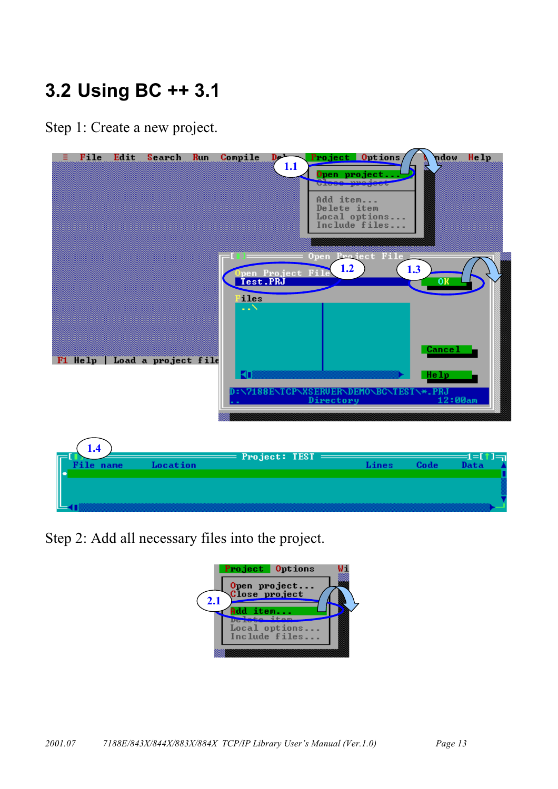# <span id="page-12-0"></span>3.2 Using BC ++ 3.1

Step 1: Create a new project.



Step 2: Add all necessary files into the project.

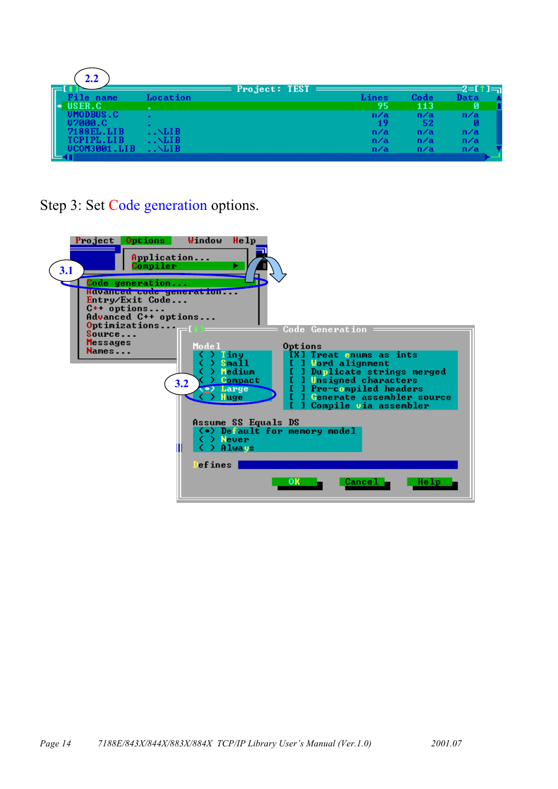| 2.2    |              |                   |              |         |              |
|--------|--------------|-------------------|--------------|---------|--------------|
|        |              | $Project: TEST =$ |              |         | <b>72 IN</b> |
| name   | acation.     |                   | <b>dines</b> | $ode -$ |              |
| RFR C. | $\sim$       |                   | 95           | 113     |              |
|        |              |                   | n/a          | n/a     | n/a          |
|        | $\mathbf{r}$ |                   | ш            | 52      |              |
|        | . . NLI B    |                   | n/a          | n/a     | n/a          |
|        | $. \sim$ LIB |                   | n/a          | n/a     | n/a          |
|        |              |                   |              |         |              |
|        |              |                   |              |         |              |

Step 3: Set Code generation options.

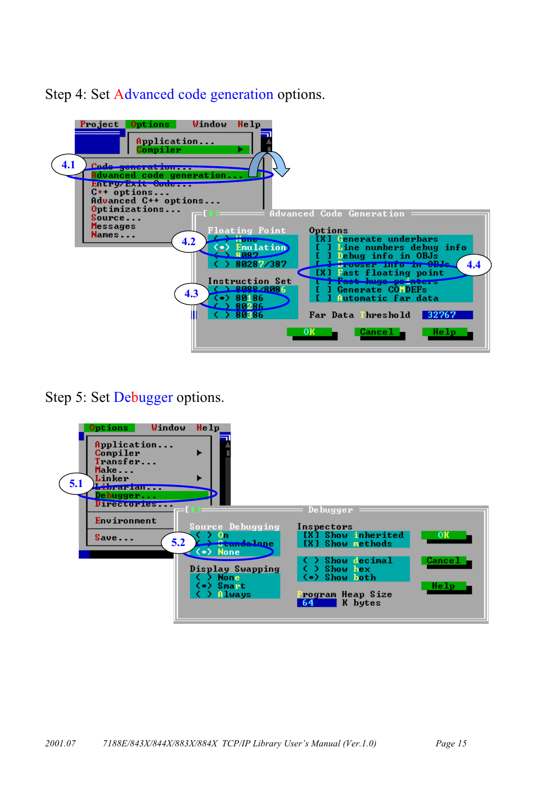Step 4: Set Advanced code generation options.



Step 5: Set Debugger options.

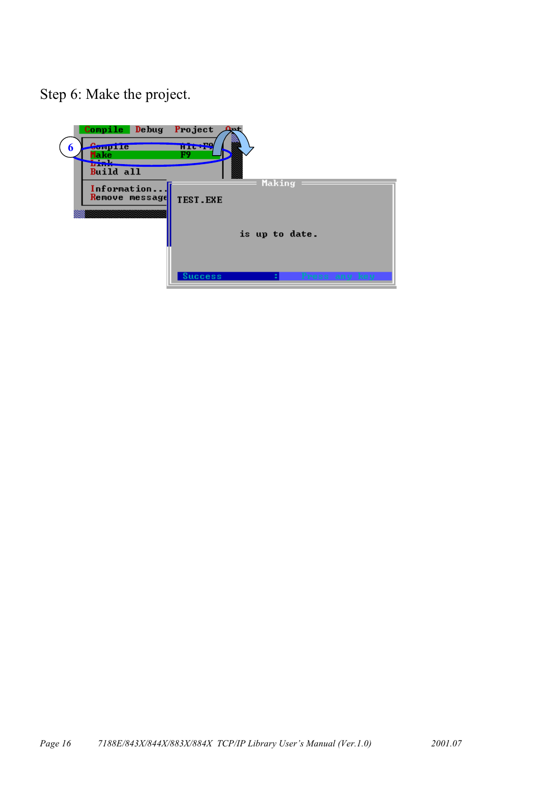Step 6: Make the project.

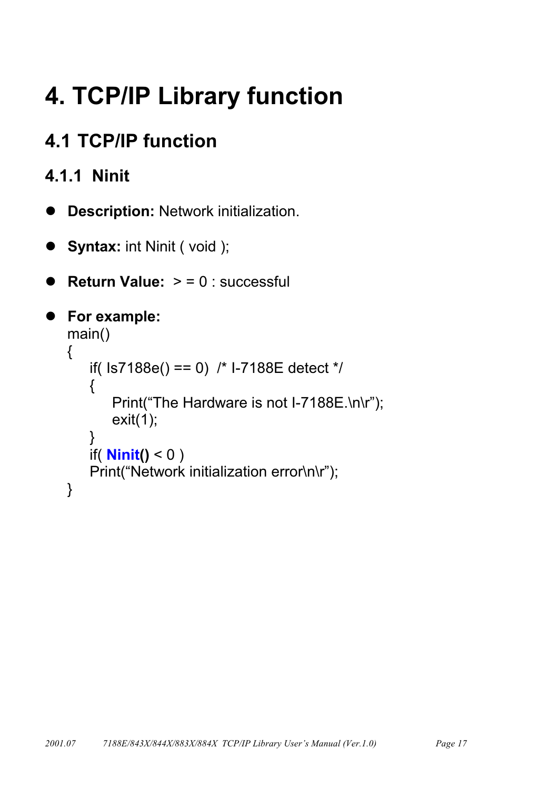# <span id="page-16-0"></span>**4. TCP/IP Library function**

# **4.1 TCP/IP function**

## 4.1.1 Ninit

- **Description: Network initialization.**  $\bullet$
- **Syntax: int Ninit (void);**  $\bullet$
- **Return Value:**  $> 0$  : successful

```
• For example:
   main()\{if(|s7188e() == 0) /* I-7188E detect */
       \{Print("The Hardware is not I-7188E.\n\r");
           exit(1);}
       if(\text{Ninit}() < 0)
       Print("Network initialization error\n\r");
   \mathcal{E}
```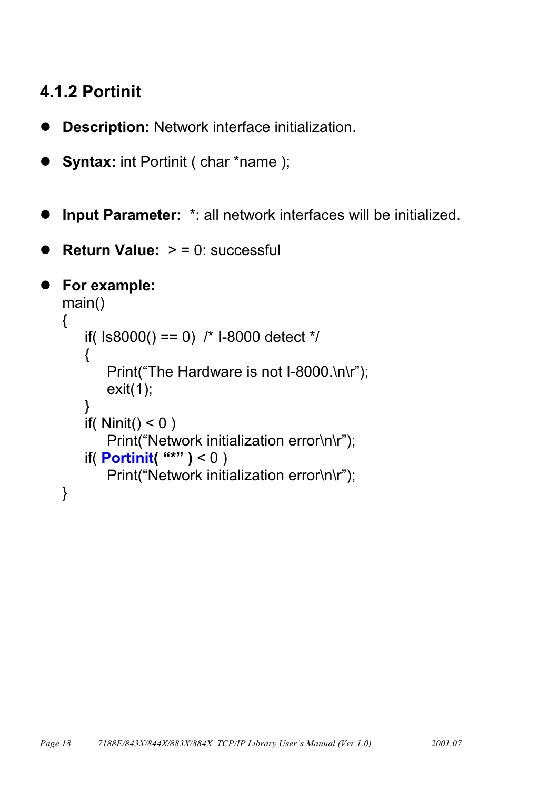### <span id="page-17-0"></span>4.1.2 Portinit

- Description: Network interface initialization.
- **Syntax:** int Portinit ( char \*name );
- Input Parameter: \*: all network interfaces will be initialized.
- **Return Value:**  $>$  = 0: successful

```
• For example:
   main()\{if(1s8000() == 0) /* I-8000 detect */
       \{Print("The Hardware is not I-8000.\n\r");
           exit(1);\mathcal{E}if(Ninit() < 0)
           Print("Network initialization error\n\r");
       if(\text{Portinit}( "*") < 0)
           Print("Network initialization error\n\r");
   \}
```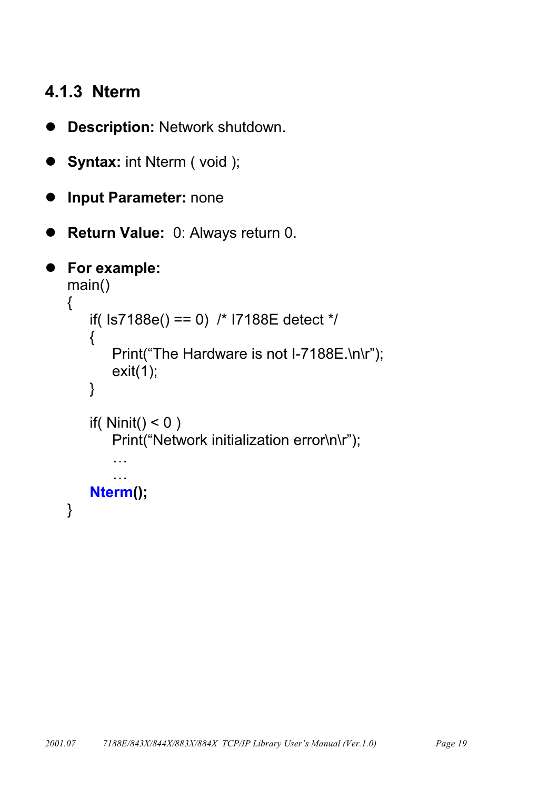#### <span id="page-18-0"></span>4.1.3 Nterm

- Description: Network shutdown.  $\bullet$
- **Syntax: int Nterm (void);** ●
- **Input Parameter: none**  $\bullet$
- Return Value: 0: Always return 0.  $\bullet$

```
• For example:
   main()\{if(|s7188e() == 0| /* I7188E detect */
       \{Print("The Hardware is not I-7188E.\n\r");
          exit(1);\}if(Ninit() < 0)
          Print("Network initialization error\n\r");
           \ddotsc\ddotscNterm();
   \}
```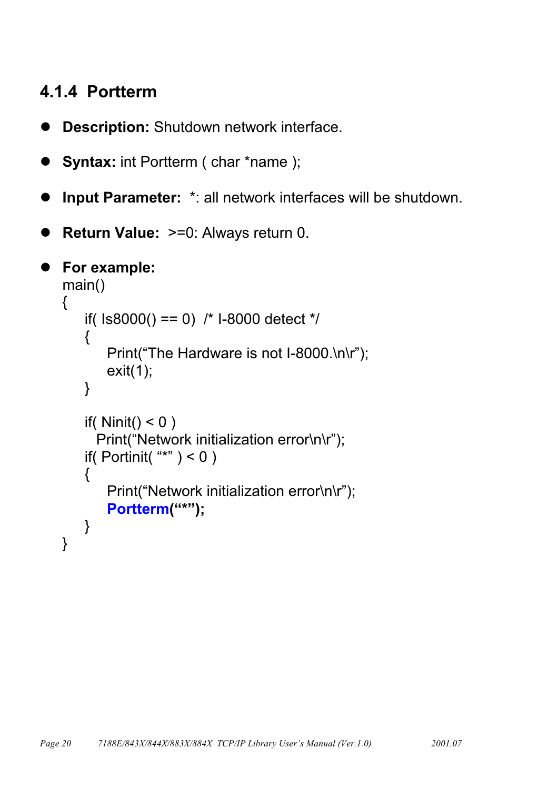#### <span id="page-19-0"></span>4.1.4 Portterm

Description: Shutdown network interface.

```
Syntax: int Portterm ( char *name );
```
- Input Parameter: \*: all network interfaces will be shutdown.
- **Return Value: >=0: Always return 0.**

```
For example:
 main()\{if(1s8000() == 0) /* I-8000 detect */
    \{Print("The Hardware is not I-8000.\n\r");
        exit(1);\}if(Ninit() < 0)
      Print("Network initialization error\n\r");
    if(Portinit("*") < 0)
    \{Print("Network initialization error\n\r");
        Portterm("*");
    }
 \}
```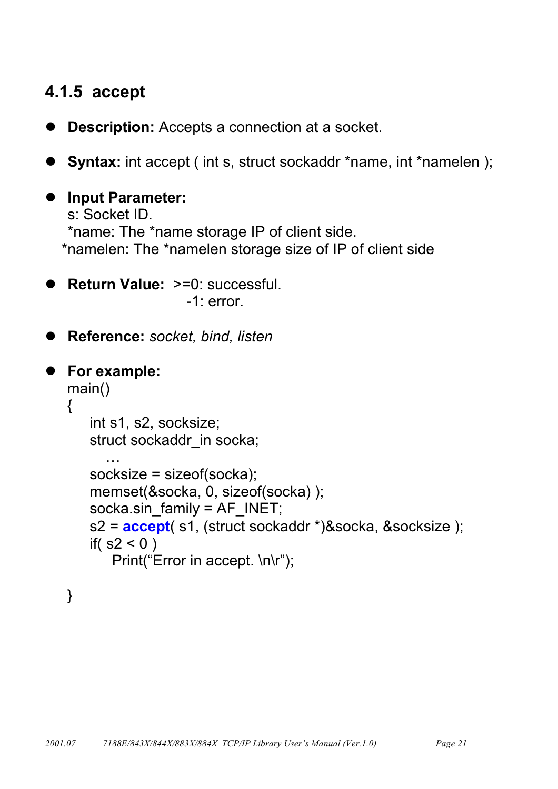#### <span id="page-20-0"></span>4.1.5 accept

- **Description:** Accepts a connection at a socket.
- **Syntax:** int accept (int s, struct sockaddr \*name, int \*namelen);

```
• Input Parameter:
   s: Socket ID.
   *name: The *name storage IP of client side.
  *namelen: The *namelen storage size of IP of client side
```
- Return Value: >=0: successful.  $-1$ : error.
- Reference: socket, bind, listen

```
• For example:
   main()\{int s1, s2, socksize;
      struct sockaddr in socka;
      socksize = sizeof(socka);
      memset(&socka, 0, sizeof(socka));
      socka.sin family = AF INET;
      s2 = accept( s1, (struct sockaddr *)&socka, &socksize );
      if(s2 < 0)
          Print("Error in accept. \n\r");
```
 $\}$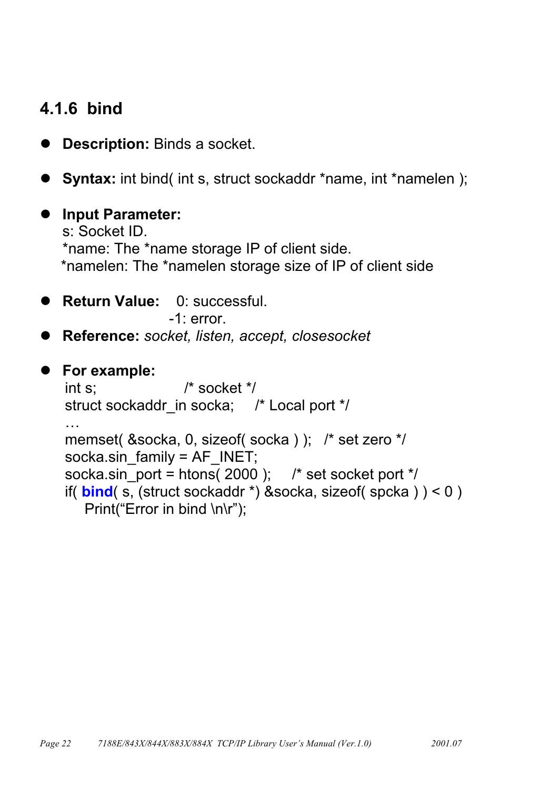#### <span id="page-21-0"></span>4.1.6 bind

- **Description: Binds a socket.**
- Syntax: int bind(int s, struct sockaddr \*name, int \*namelen);
- Input Parameter: s: Socket ID. \*name: The \*name storage IP of client side. \*namelen: The \*namelen storage size of IP of client side
- Return Value: 0: successful.

 $-1$  error

● Reference: socket, listen, accept, closesocket

## • For example:

```
/* socket */
int s:
struct sockaddr in socka; /* Local port */
\ddotscmemset( &socka, 0, sizeof( socka ) ); /* set zero */
socka.sin family = AF INET;
socka.sin port = htons(2000); /* set socket port */
if(bined(s, (struct \, socket) \, 8 \, socked)) < 0)
  Print("Error in bind \n\r");
```
2001.07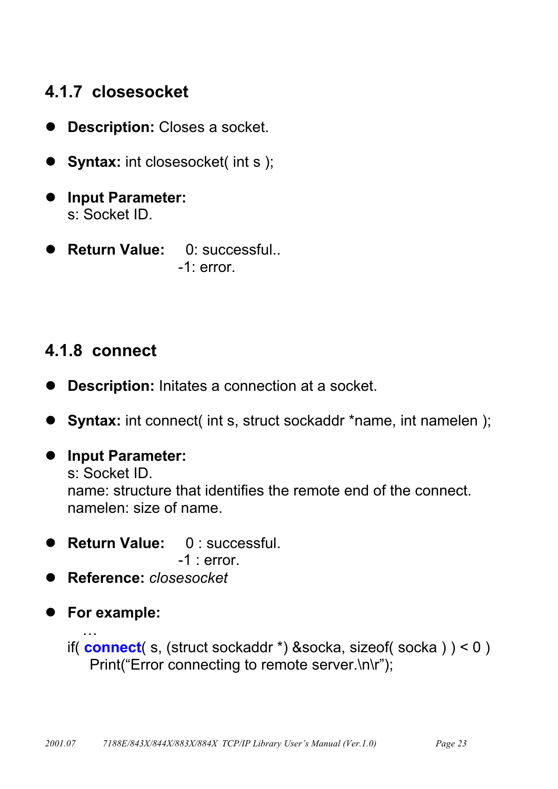#### <span id="page-22-0"></span>4.1.7 closesocket

- **Description: Closes a socket.**  $\bullet$
- Syntax: int closesocket( int s);
- Input Parameter: s: Socket ID.
- **Return Value:** 0: successful...  $-1$ : error.

## 4.1.8 connect

- Description: Initates a connection at a socket.  $\bullet$
- Syntax: int connect( int s, struct sockaddr \*name, int namelen);
- Input Parameter: s: Socket ID. name; structure that identifies the remote end of the connect. namelen: size of name.
- Return Value: 0: successful.

```
-1: error.
```
- Reference: closesocket
- For example:

if(connect(s, (struct sockaddr \*) & socka, size of(socka)) < 0) Print("Error connecting to remote server.\n\r");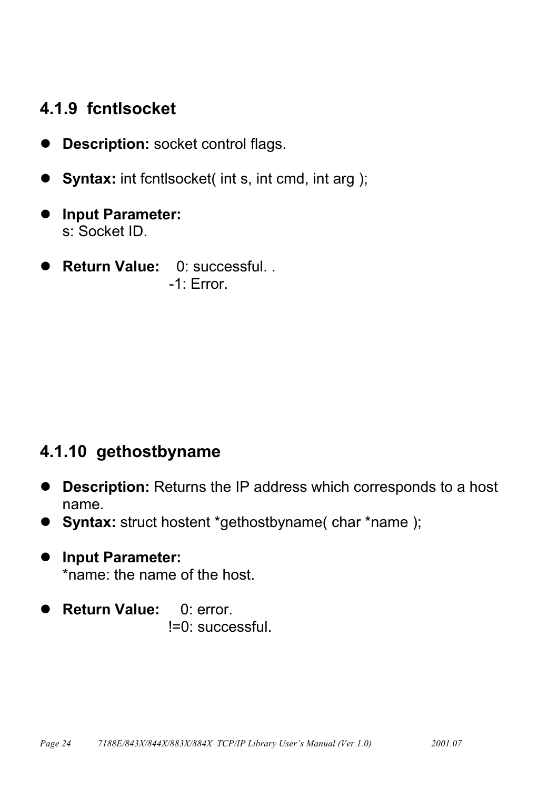#### <span id="page-23-0"></span>4.1.9 fcntlsocket

- **Description:** socket control flags.  $\bullet$
- **Syntax:** int fontlsocket( int s, int cmd, int arg);
- **Input Parameter:** s: Socket ID.
- · Return Value: 0: successful. .  $-1$  Frror

#### 4.1.10 gethostbyname

- Description: Returns the IP address which corresponds to a host name.
- Syntax: struct hostent \*gethostbyname( char \*name );
- Input Parameter: \*name: the name of the host.
- **Return Value:**  $0:$  error. !=0: successful.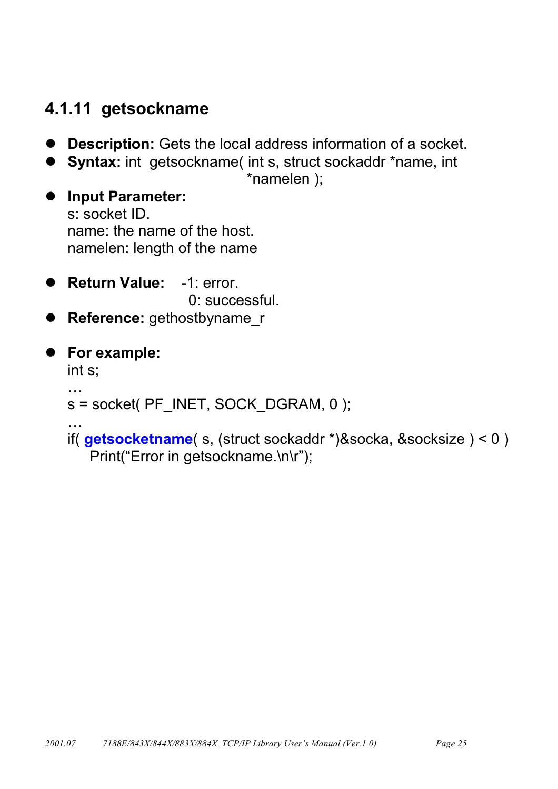#### <span id="page-24-0"></span>4.1.11 getsockname

- **Description:** Gets the local address information of a socket.  $\bullet$
- Syntax: int getsockname(int s, struct sockaddr \*name, int

\*namelen );

**Input Parameter:**  $\bullet$ s: socket ID. name: the name of the host. namelen: length of the name

- Return Value: -1: error. 0: successful.
- Reference: gethostbyname\_r

• For example:

int s:

```
s = socket( PF INET, SOCK DGRAM, 0);
```
il.

 $\ddotsc$ 

if( $getsocketname( s, (struct sockaddr *)&socka, &socksize ) < 0 )$ Print("Error in getsockname.\n\r");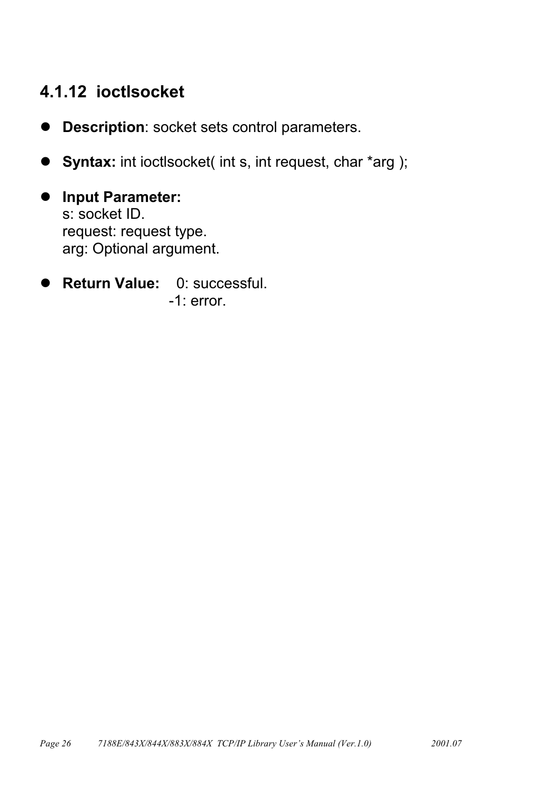#### <span id="page-25-0"></span>4.1.12 ioctlsocket

- Description: socket sets control parameters.  $\bullet$
- Syntax: int ioctlsocket( int s, int request, char \*arg );
- **Input Parameter:**  $\bullet$ s: socket ID. request: request type. arg: Optional argument.
- Return Value: 0: successful. D  $-1$ : error.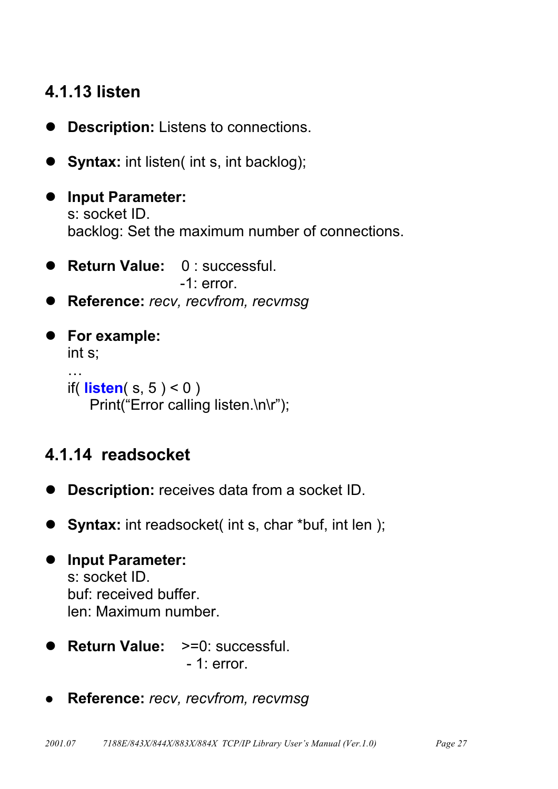### <span id="page-26-0"></span>4.1.13 listen

- **Description:** Listens to connections.
- Syntax: int listen( int s, int backlog);
- **Input Parameter:**  $\bullet$ s: socket ID. backlog: Set the maximum number of connections.
- Return Value: 0: successful.  $-1$ : error.
- Reference: recv. recvfrom. recvmsq
- For example:  $int s$ :  $\sim$   $\sim$   $\sim$ if(**)** Print("Error calling listen.\n\r");

### 4.1.14 readsocket

- **Description:** receives data from a socket ID.
- Syntax: int readsocket(int s, char \*buf, int len);

```
• Input Parameter:
   s: socket ID.
   buf: received buffer.
   len: Maximum number.
```
- **Return Value:**  $>=0$ : successful.  $-1$ : error.
- Reference: recv, recvfrom, recvmsg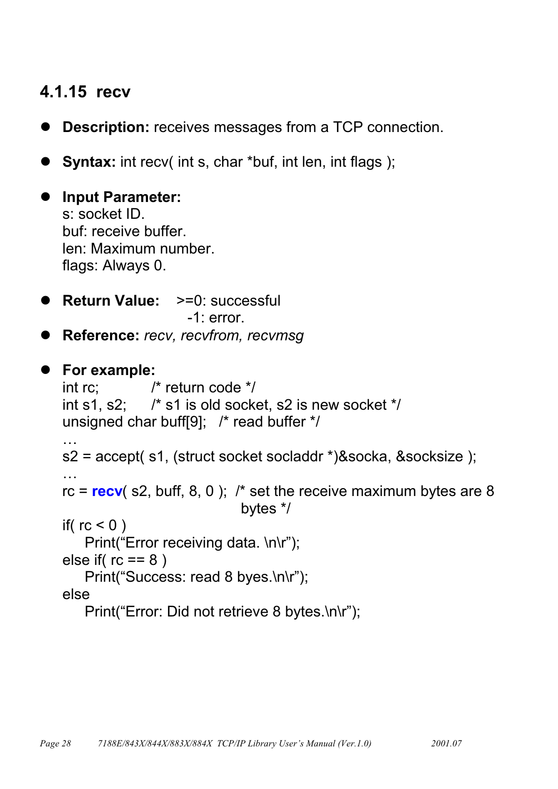#### <span id="page-27-0"></span>4.1.15 recv

- **Description:** receives messages from a TCP connection.
- **Syntax:** int recv( int s, char \*buf, int len, int flags);

• Input Parameter: s: socket ID. buf: receive buffer. len: Maximum number. flags: Always 0.

- Return Value: >=0: successful  $-1$ : error.
- Reference: recv, recvfrom, recvmsg

```
• For example:
              \prime^* return code \prime\primeint rc:
   int s1, s2; \frac{1}{2} /* s1 is old socket, s2 is new socket */
   unsigned char buff[9]; /* read buffer */
   \ddotscs2 = accept( s1, (struct socket socladdr *)&socka, &socksize );
   rc = <b>recv</b> (s2, buff, 8, 0); /* set the receive maximum bytes are 8
                                  bytes */
   if(rc < 0)
       Print("Error receiving data. \n\r");
   else if rc == 8)
       Print("Success: read 8 byes.\n\r");
   else
       Print("Error: Did not retrieve 8 bytes.\n\r");
```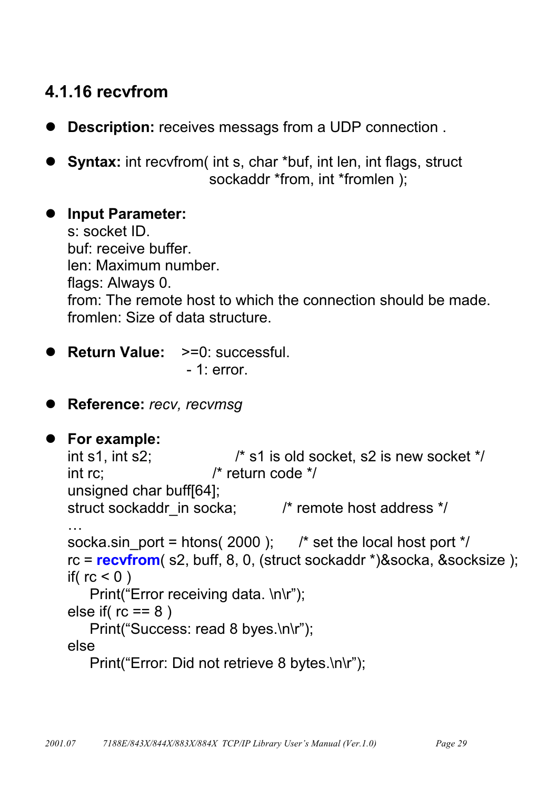### <span id="page-28-0"></span>4.1.16 recyfrom

- **Description:** receives messags from a UDP connection.
- Syntax: int recvfrom(int s, char \*buf, int len, int flags, struct sockaddr \*from, int \*fromlen );

#### • Input Parameter:

s: socket ID. buf: receive buffer. len: Maximum number. flags: Always 0. from: The remote host to which the connection should be made. fromlen: Size of data structure.

**Return Value: >=0: successful.**  $-1$ : error.

Reference: recv. recvmsq

```
• For example:
```

```
\prime* s1 is old socket. s2 is new socket */
int s1, int s2;
                        \prime^* return code \prime\primeint rc:
unsigned char buff[64];
struct sockaddr_in socka; /* remote host address */
\ddotscsocka.sin port = htons(2000); /* set the local host port */
rc = <b>recvfrom</b> (s2, buff, 8, 0, (struct sockaddr *)&socka, &socksize );
if(rc < 0)
   Print("Error receiving data. \n\r");
else if rc == 8)
   Print("Success: read 8 byes.\n\r");
else
   Print("Error: Did not retrieve 8 bytes.\n\r");
```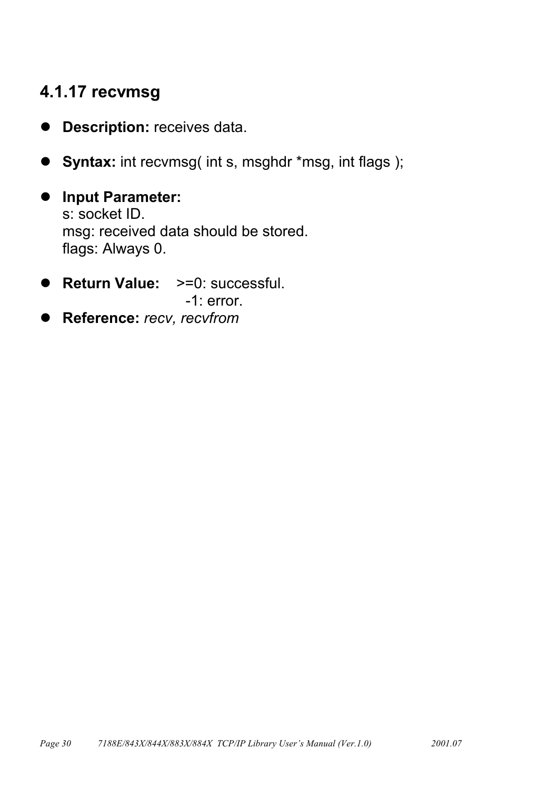### <span id="page-29-0"></span>4.1.17 recvmsg

- Description: receives data.  $\bullet$
- **Syntax:** int recvmsg( int s, msghdr \*msg, int flags);
- **Input Parameter:**  $\bullet$ s: socket ID. msg: received data should be stored. flags: Always 0.
- Return Value: >=0: successful.  $-1$ : error.
- Reference: recv, recvfrom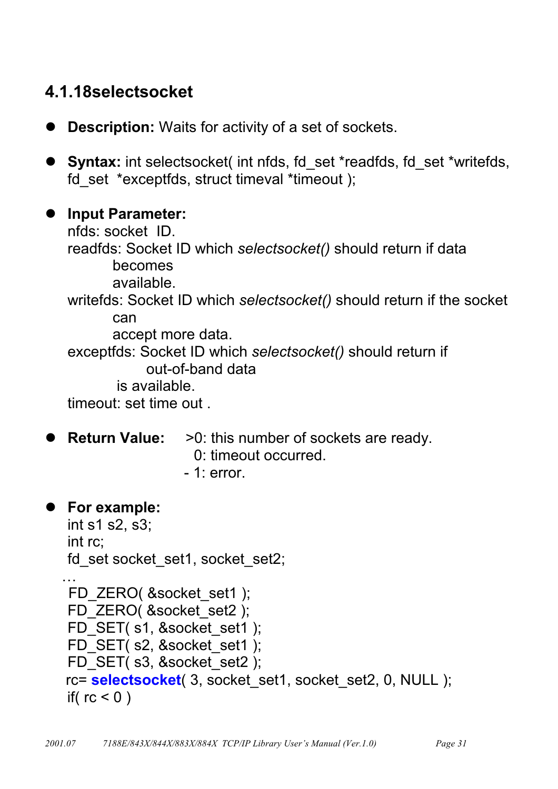#### <span id="page-30-0"></span>4.1.18selectsocket

- **Description:** Waits for activity of a set of sockets.
- Syntax: int selectsocket(int nfds, fd set \*readfds, fd set \*writefds, fd set \*exceptfds, struct timeval \*timeout );

#### • Input Parameter:

nfds: socket ID. readfds: Socket ID which selectsocket() should return if data becomes available. writefds: Socket ID which selectsocket() should return if the socket can accept more data. exceptfds: Socket ID which selectsocket() should return if out-of-band data is available. timeout: set time out.

#### **Return Value:**

- >0: this number of sockets are ready.
	- 0: timeout occurred.
	- $-1$ : error.

#### • For example:

```
int s1 s2, s3;
int rc:
fd set socket set1, socket set2;
```

```
FD ZERO( &socket set1 );
FD ZERO( &socket set2 ):
FD SET(s1, &socket set1);
FD SET( s2, &socket set1 );
FD SET( s3, & socket set2 );
rc= selectsocket( 3, socket set1, socket set2, 0, NULL );
if(rc < 0)
```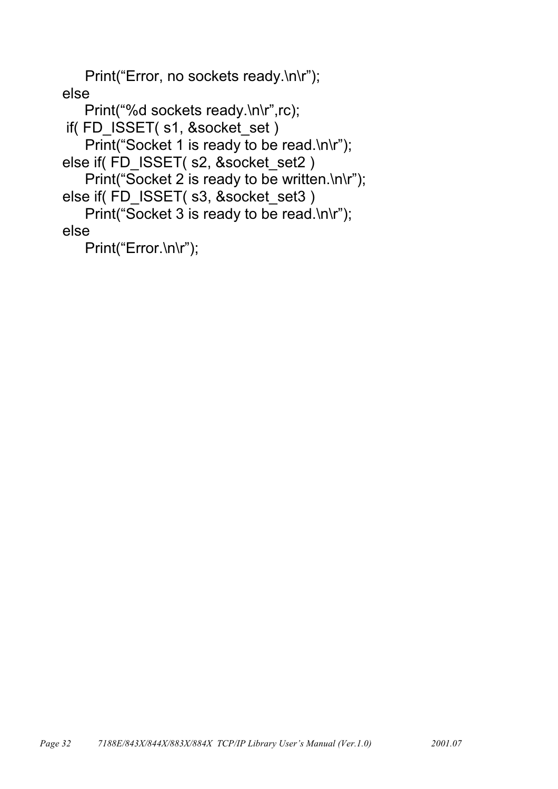Print("Error, no sockets ready.\n\r"); else

```
Print("%d sockets ready.\n\r",rc);
if(FD_ISSET(s1, &socket_set)
   Print("Socket 1 is ready to be read.\n\r");
else if(FD_ISSET(s2, &socket_set2)
   Print("Socket 2 is ready to be written.\n\r");
else if(FD_ISSET(s3, &socket_set3)
   Print("Socket 3 is ready to be read.\n\r");
else
```
Print("Error.\n\r");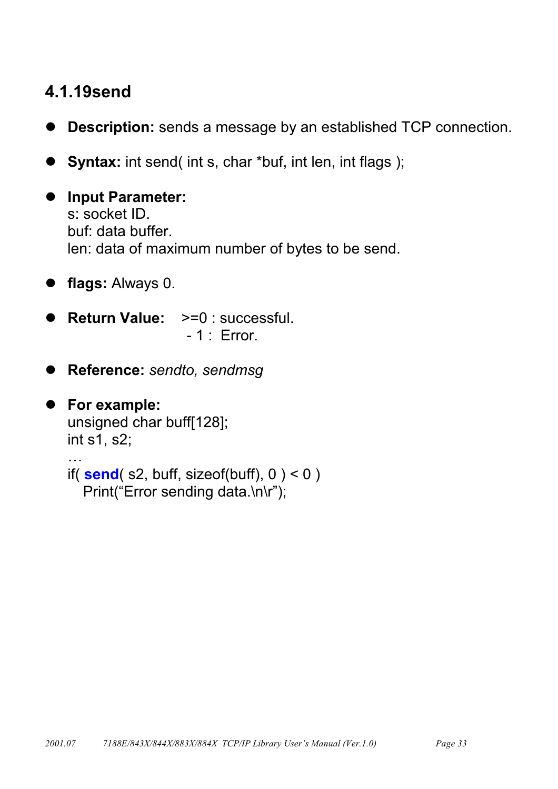#### <span id="page-32-0"></span>4.1.19send

- **Description:** sends a message by an established TCP connection.  $\bullet$
- **Syntax:** int send(int s, char \*buf, int len, int flags);  $\bullet$
- **Input Parameter:**  $\bullet$ s: socket ID. buf: data buffer. len: data of maximum number of bytes to be send.
- flags: Always 0.
- Return Value: >=0 : successful.  $-1$ : Error.
- Reference: sendto, sendmsg

```
• For example:
   unsigned char buff[128];
   int s1, s2;
   \mathbb{R}^2if(send(s2, buffer, sizeof(buff), 0) < 0))
      Print("Error sending data.\n\r");
```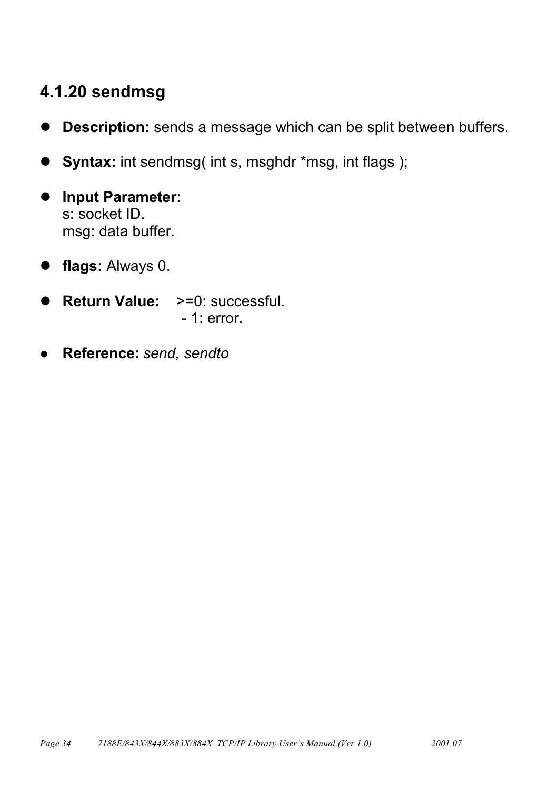### <span id="page-33-0"></span>4.1.20 sendmsg

- Description: sends a message which can be split between buffers.
- Syntax: int sendmsg(int s, msghdr \*msg, int flags);
- **Input Parameter:**  $\blacksquare$ s: socket ID. msg: data buffer.
- flags: Always 0.
- Return Value: >=0: successful.  $-1$ : error.
- Reference: send, sendto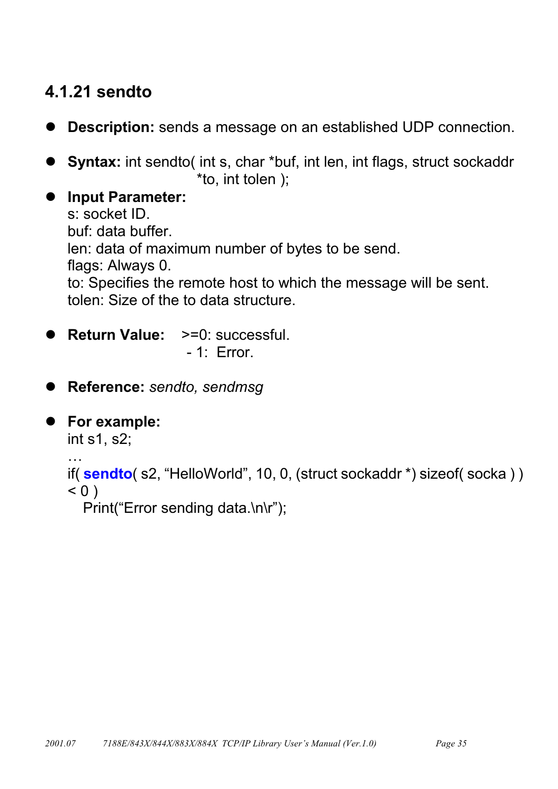## <span id="page-34-0"></span>4.1.21 sendto

- **Description:** sends a message on an established UDP connection.
- **Syntax:** int sendto( int s, char \*buf, int len, int flags, struct sockaddr \*to, int tolen);
- **Input Parameter:**  $\bullet$ s: socket ID. buf: data buffer. len: data of maximum number of bytes to be send. flags: Always 0. to: Specifies the remote host to which the message will be sent. tolen: Size of the to data structure.
- **Return Value:**  $>=0$ : successful.  $-1$ : Error.
- Reference: sendto, sendmsg
- For example: int s1, s2;  $\mathbb{R}^2$ if(sendto(s2, "HelloWorld", 10, 0, (struct sockaddr \*) sizeof(socka))  $< 0$ )

Print("Error sending data.\n\r");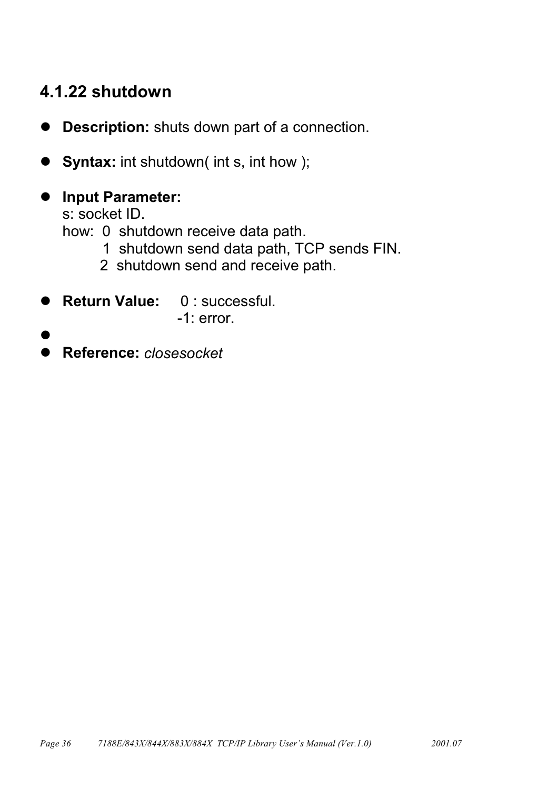#### <span id="page-35-0"></span>4.1.22 shutdown

- **Description:** shuts down part of a connection.  $\bullet$
- **Syntax:** int shutdown( int s, int how );
- Input Parameter:

s: socket ID.

how: 0 shutdown receive data path.

- 1 shutdown send data path, TCP sends FIN.
- 2 shutdown send and receive path.
- Return Value: 0: successful.
	- $-1$ : error.
- 
- Reference: closesocket